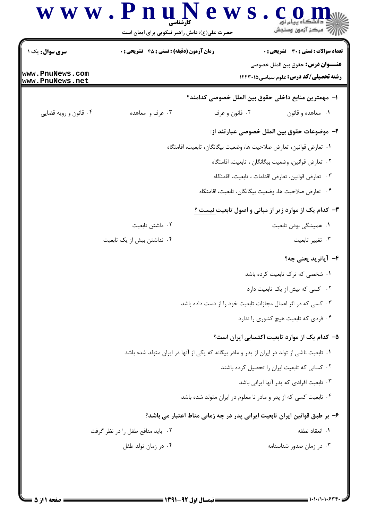

 $=$  1+1+/1+1+63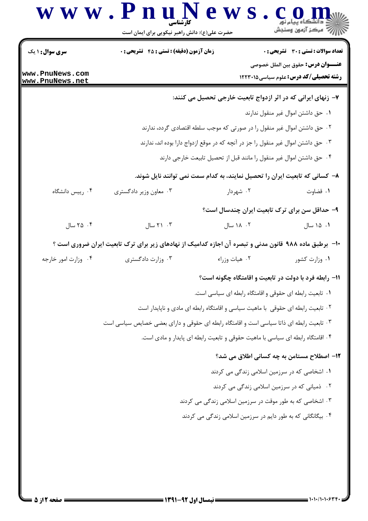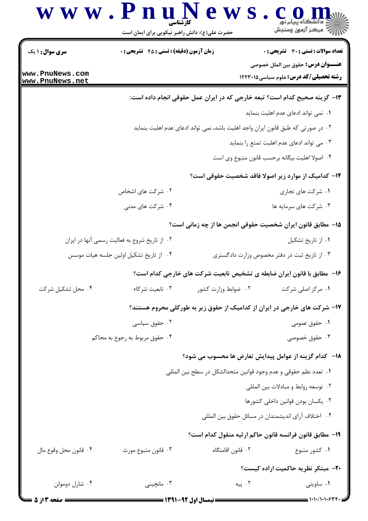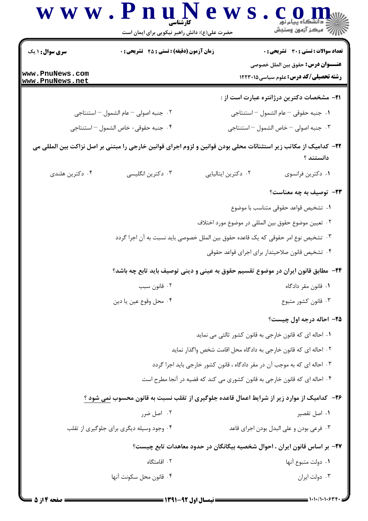